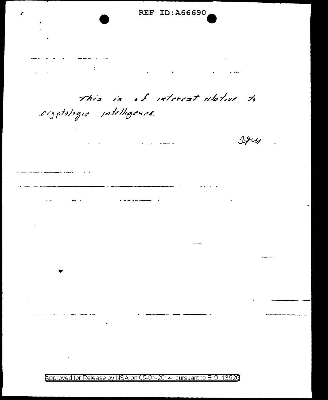**REF ID:A66690** £  $\sim 10^{11}$  GeV  $^{-1}$  $\mathcal{L}_{\text{max}}$  and  $\mathcal{L}_{\text{max}}$  $\mathcal{L}_{\text{max}}$  and  $\mathcal{L}_{\text{max}}$  . The  $\mathcal{L}_{\text{max}}$  $\omega_{\rm c}$ This is of interest relative to cryptologic intelligence.  $494$  $\sim 100$ 

Approved for Release by NSA on 05-01-2014 pursuant to E.O. 13526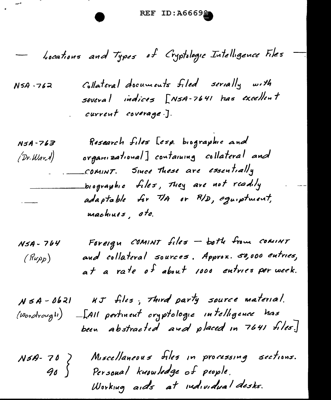REF ID:A6669

- bocations and Types of Cryptologic Intelligence Files

 $\label{eq:2.1} \frac{1}{\sqrt{2\pi}}\frac{1}{\sqrt{2\pi}}\frac{1}{\sqrt{2\pi}}\int_{0}^{\infty}\frac{1}{\sqrt{2\pi}}\frac{1}{\sqrt{2\pi}}\frac{1}{\sqrt{2\pi}}\frac{1}{\sqrt{2\pi}}\frac{1}{\sqrt{2\pi}}\frac{1}{\sqrt{2\pi}}\frac{1}{\sqrt{2\pi}}\frac{1}{\sqrt{2\pi}}\frac{1}{\sqrt{2\pi}}\frac{1}{\sqrt{2\pi}}\frac{1}{\sqrt{2\pi}}\frac{1}{\sqrt{2\pi}}\frac{1}{\sqrt{2\pi}}\frac{1}{\sqrt{2\$ 

Collateral documents filed serially with  $N5A - 762$ several indices [NSA-7641 has excellent current coverage.].

| $N5A - 763$                     | Research files [esp. biographic and       |
|---------------------------------|-------------------------------------------|
| (Dr.War. 1)                     | organizational] containing collateral and |
|                                 | COMINT. Since These are essentially       |
|                                 | biographic files, they are not readily    |
| $\frac{1}{2}$ and $\frac{1}{2}$ | adaptable for TIA or RID, equiptment,     |
|                                 | machines, etc.                            |

| $N5A - 764$ | Foreign COMINT files - both from COMINT         |
|-------------|-------------------------------------------------|
| (Rupp)      | and collateral sources. Approx. 50,000 entries, |
|             | at a rate of about 1000 entries per week.       |

NSA-0621  $\kappa J$  files, Third party source material. (Woodrough) -[All pertment cryptologie intelligence has been abstracted and placed in 7641 files.

Miscellaneous files in processing sections.  $N5A-70$  $90 \int$ Personal knowledge of people. Working aids at individual desks.